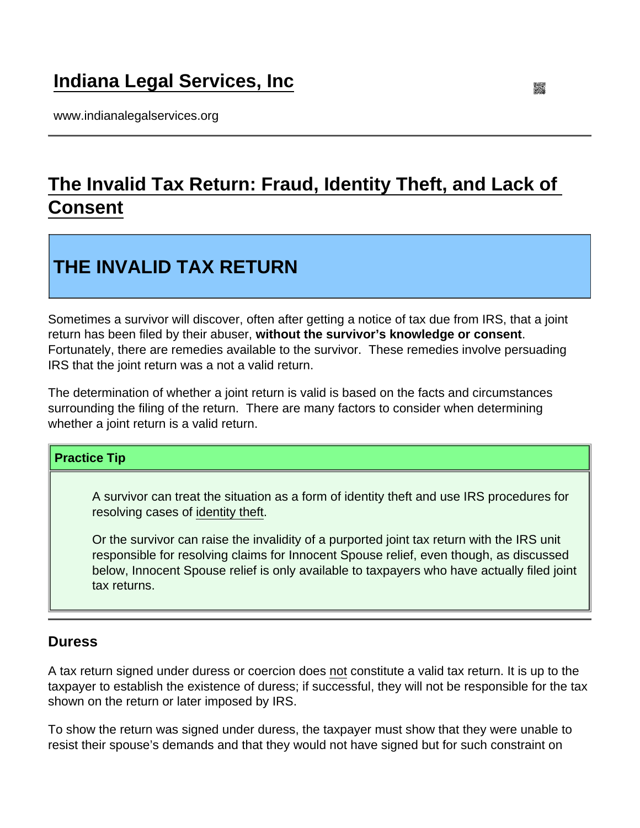## [Indiana Legal Services, Inc](https://www.indianalegalservices.org/)

www.indianalegalservices.org

## [The Invalid Tax Return: Fraud, Identity Theft, and Lack of](https://www.indianalegalservices.org/node/900/invalid-tax-return-fraud-identity-theft-and-lack-consent)  [Consent](https://www.indianalegalservices.org/node/900/invalid-tax-return-fraud-identity-theft-and-lack-consent)

# THE INVALID TAX RETURN

Sometimes a survivor will discover, often after getting a notice of tax due from IRS, that a joint return has been filed by their abuser, without the survivor's knowledge or consent . Fortunately, there are remedies available to the survivor. These remedies involve persuading IRS that the joint return was a not a valid return.

The determination of whether a joint return is valid is based on the facts and circumstances surrounding the filing of the return. There are many factors to consider when determining whether a joint return is a valid return.

#### Practice Tip

A survivor can treat the situation as a form of identity theft and use IRS procedures for resolving cases of [identity theft](http://www.indianalegalservices.org/node/813/tax-related-identity-theft).

Or the survivor can raise the invalidity of a purported joint tax return with the IRS unit responsible for resolving claims for Innocent Spouse relief, even though, as discussed below, Innocent Spouse relief is only available to taxpayers who have actually filed joint tax returns.

### **Duress**

A tax return signed under duress or coercion does not constitute a valid tax return. It is up to the taxpayer to establish the existence of duress; if successful, they will not be responsible for the tax shown on the return or later imposed by IRS.

To show the return was signed under duress, the taxpayer must show that they were unable to resist their spouse's demands and that they would not have signed but for such constraint on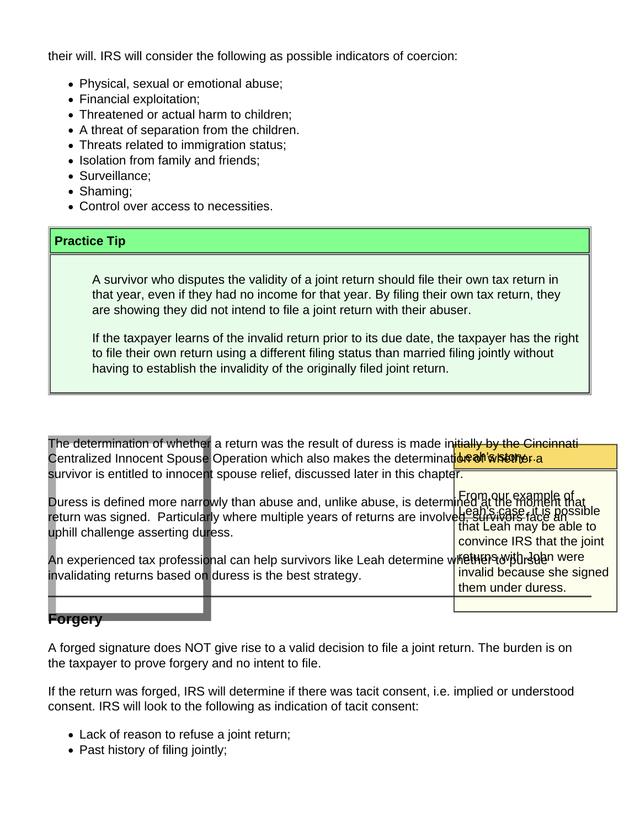their will. IRS will consider the following as possible indicators of coercion:

- Physical, sexual or emotional abuse;
- Financial exploitation:
- Threatened or actual harm to children;
- A threat of separation from the children.
- Threats related to immigration status;
- Isolation from family and friends;
- Surveillance:
- Shaming:
- Control over access to necessities.

#### Practice Tip

A survivor who disputes the validity of a joint return should file their own tax return in that year, even if they had no income for that year. By filing their own tax return, they are showing they did not intend to file a joint return with their abuser.

If the taxpayer learns of the invalid return prior to its due date, the taxpayer has the right to file their own return using a different filing status than married filing jointly without having to establish the invalidity of the originally filed joint return.

|                                                            | The determination of whether a return was the result of duress is made initially by the Cincinnati                                                                                                                                   |                                                  |
|------------------------------------------------------------|--------------------------------------------------------------------------------------------------------------------------------------------------------------------------------------------------------------------------------------|--------------------------------------------------|
|                                                            | Centralized Innocent Spouse Operation which also makes the determination whisterner.a                                                                                                                                                |                                                  |
|                                                            | survivor is entitled to innocent spouse relief, discussed later in this chapter.                                                                                                                                                     |                                                  |
| uphill challenge asserting duress.                         | Duress is defined more narrowly than abuse and, unlike abuse, is determined at the moment that<br>return was signed. Particularly where multiple years of returns are involved, survivers race ansisted<br>unbill challenge assertin | convince IRS that the joint                      |
| invalidating returns based on duress is the best strategy. | An experienced tax professional can help survivors like Leah determine whether awith doon were                                                                                                                                       | invalid because she signed<br>them under duress. |
|                                                            |                                                                                                                                                                                                                                      |                                                  |

#### **orgery**

A forged signature does NOT give rise to a valid decision to file a joint return. The burden is on the taxpayer to prove forgery and no intent to file.

If the return was forged, IRS will determine if there was tacit consent, i.e. implied or understood consent. IRS will look to the following as indication of tacit consent:

- Lack of reason to refuse a joint return;
- Past history of filing jointly;